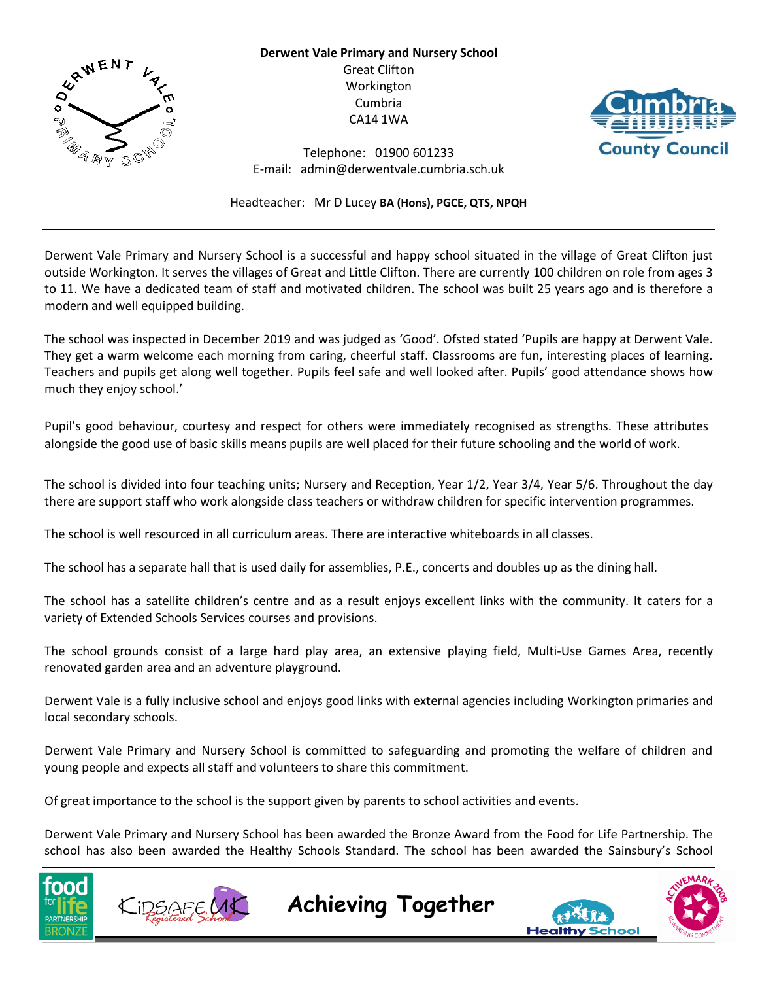

**Derwent Vale Primary and Nursery School** Great Clifton Workington Cumbria CA14 1WA



Telephone: 01900 601233 E-mail: admin@derwentvale.cumbria.sch.uk

Headteacher: Mr D Lucey **BA (Hons), PGCE, QTS, NPQH**

Derwent Vale Primary and Nursery School is a successful and happy school situated in the village of Great Clifton just outside Workington. It serves the villages of Great and Little Clifton. There are currently 100 children on role from ages 3 to 11. We have a dedicated team of staff and motivated children. The school was built 25 years ago and is therefore a modern and well equipped building.

The school was inspected in December 2019 and was judged as 'Good'. Ofsted stated 'Pupils are happy at Derwent Vale. They get a warm welcome each morning from caring, cheerful staff. Classrooms are fun, interesting places of learning. Teachers and pupils get along well together. Pupils feel safe and well looked after. Pupils' good attendance shows how much they enjoy school.'

Pupil's good behaviour, courtesy and respect for others were immediately recognised as strengths. These attributes alongside the good use of basic skills means pupils are well placed for their future schooling and the world of work.

The school is divided into four teaching units; Nursery and Reception, Year 1/2, Year 3/4, Year 5/6. Throughout the day there are support staff who work alongside class teachers or withdraw children for specific intervention programmes.

The school is well resourced in all curriculum areas. There are interactive whiteboards in all classes.

The school has a separate hall that is used daily for assemblies, P.E., concerts and doubles up as the dining hall.

The school has a satellite children's centre and as a result enjoys excellent links with the community. It caters for a variety of Extended Schools Services courses and provisions.

The school grounds consist of a large hard play area, an extensive playing field, Multi-Use Games Area, recently renovated garden area and an adventure playground.

Derwent Vale is a fully inclusive school and enjoys good links with external agencies including Workington primaries and local secondary schools.

Derwent Vale Primary and Nursery School is committed to safeguarding and promoting the welfare of children and young people and expects all staff and volunteers to share this commitment.

Of great importance to the school is the support given by parents to school activities and events.

Derwent Vale Primary and Nursery School has been awarded the Bronze Award from the Food for Life Partnership. The school has also been awarded the Healthy Schools Standard. The school has been awarded the Sainsbury's School